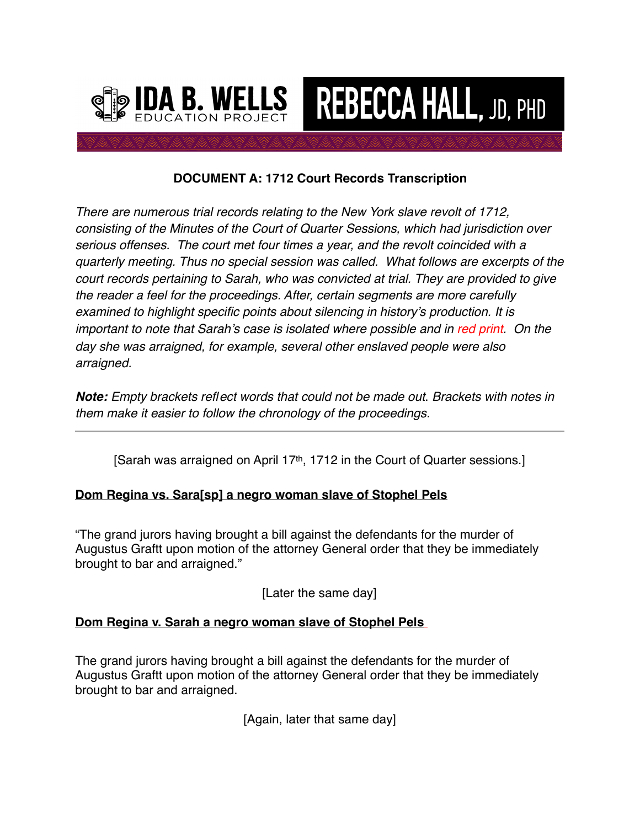

# **DOCUMENT A: 1712 Court Records Transcription**

**REBECCA HALL, JD, PHD** 

*There are numerous trial records relating to the New York slave revolt of 1712, consisting of the Minutes of the Court of Quarter Sessions, which had jurisdiction over serious offenses. The court met four times a year, and the revolt coincided with a quarterly meeting. Thus no special session was called. What follows are excerpts of the court records pertaining to Sarah, who was convicted at trial. They are provided to give the reader a feel for the proceedings. After, certain segments are more carefully examined to highlight specific points about silencing in history's production. It is important to note that Sarah's case is isolated where possible and in red print. On the day she was arraigned, for example, several other enslaved people were also arraigned.*

*Note: Empty brackets reflect words that could not be made out*. *Brackets with notes in them make it easier to follow the chronology of the proceedings.*

[Sarah was arraigned on April 17<sup>th</sup>, 1712 in the Court of Quarter sessions.]

# **Dom Regina vs. Sara[sp] a negro woman slave of Stophel Pels**

"The grand jurors having brought a bill against the defendants for the murder of Augustus Graftt upon motion of the attorney General order that they be immediately brought to bar and arraigned."

[Later the same day]

# **Dom Regina v. Sarah a negro woman slave of Stophel Pels**

The grand jurors having brought a bill against the defendants for the murder of Augustus Graftt upon motion of the attorney General order that they be immediately brought to bar and arraigned.

[Again, later that same day]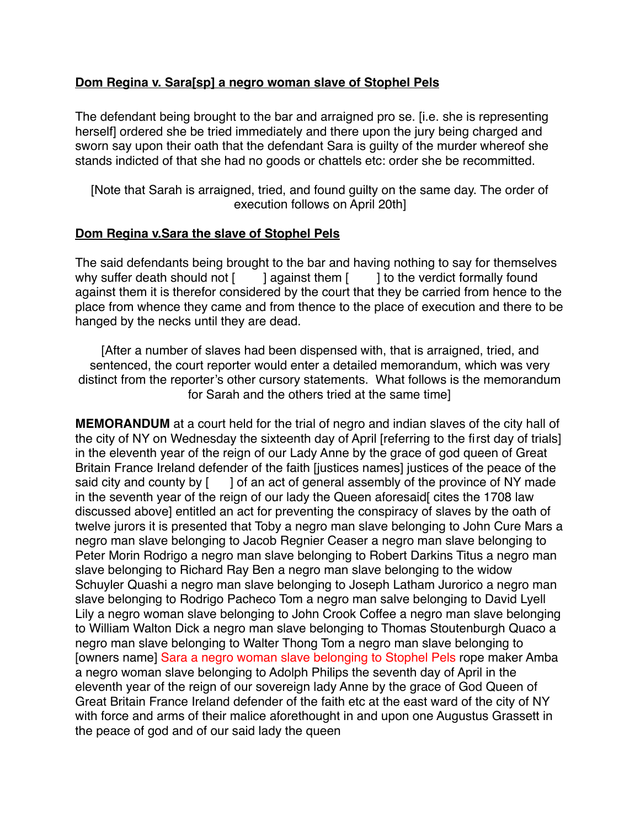## **Dom Regina v. Sara[sp] a negro woman slave of Stophel Pels**

The defendant being brought to the bar and arraigned pro se. [i.e. she is representing herself] ordered she be tried immediately and there upon the jury being charged and sworn say upon their oath that the defendant Sara is guilty of the murder whereof she stands indicted of that she had no goods or chattels etc: order she be recommitted.

[Note that Sarah is arraigned, tried, and found guilty on the same day. The order of execution follows on April 20th]

### **Dom Regina v.Sara the slave of Stophel Pels**

The said defendants being brought to the bar and having nothing to say for themselves why suffer death should not  $\begin{bmatrix} 1 \\ 2 \end{bmatrix}$  against them  $\begin{bmatrix} 1 \\ 2 \end{bmatrix}$  to the verdict formally found against them it is therefor considered by the court that they be carried from hence to the place from whence they came and from thence to the place of execution and there to be hanged by the necks until they are dead.

[After a number of slaves had been dispensed with, that is arraigned, tried, and sentenced, the court reporter would enter a detailed memorandum, which was very distinct from the reporter's other cursory statements. What follows is the memorandum for Sarah and the others tried at the same time]

**MEMORANDUM** at a court held for the trial of negro and indian slaves of the city hall of the city of NY on Wednesday the sixteenth day of April [referring to the first day of trials] in the eleventh year of the reign of our Lady Anne by the grace of god queen of Great Britain France Ireland defender of the faith [justices names] justices of the peace of the said city and county by  $\lceil \quad \rceil$  of an act of general assembly of the province of NY made in the seventh year of the reign of our lady the Queen aforesaid cites the 1708 law discussed above] entitled an act for preventing the conspiracy of slaves by the oath of twelve jurors it is presented that Toby a negro man slave belonging to John Cure Mars a negro man slave belonging to Jacob Regnier Ceaser a negro man slave belonging to Peter Morin Rodrigo a negro man slave belonging to Robert Darkins Titus a negro man slave belonging to Richard Ray Ben a negro man slave belonging to the widow Schuyler Quashi a negro man slave belonging to Joseph Latham Jurorico a negro man slave belonging to Rodrigo Pacheco Tom a negro man salve belonging to David Lyell Lily a negro woman slave belonging to John Crook Coffee a negro man slave belonging to William Walton Dick a negro man slave belonging to Thomas Stoutenburgh Quaco a negro man slave belonging to Walter Thong Tom a negro man slave belonging to [owners name] Sara a negro woman slave belonging to Stophel Pels rope maker Amba a negro woman slave belonging to Adolph Philips the seventh day of April in the eleventh year of the reign of our sovereign lady Anne by the grace of God Queen of Great Britain France Ireland defender of the faith etc at the east ward of the city of NY with force and arms of their malice aforethought in and upon one Augustus Grassett in the peace of god and of our said lady the queen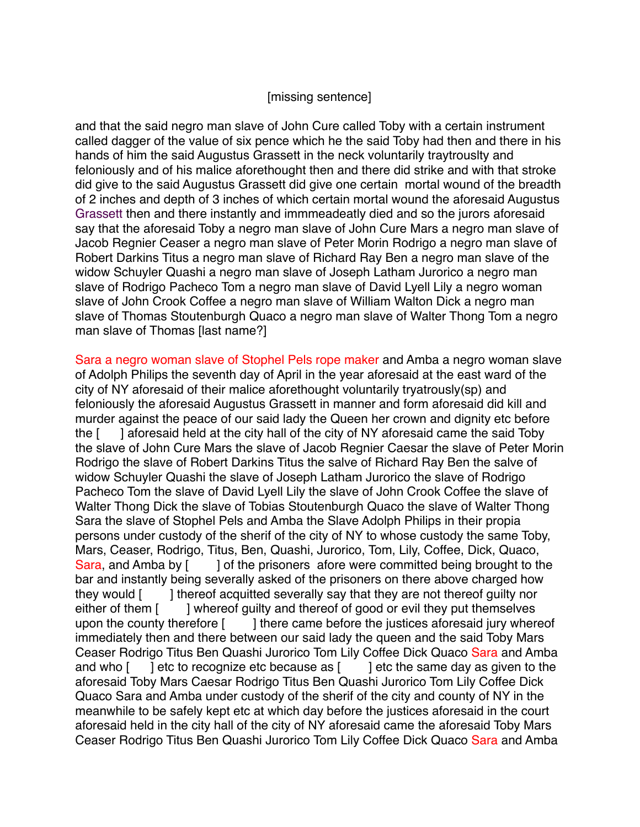#### [missing sentence]

and that the said negro man slave of John Cure called Toby with a certain instrument called dagger of the value of six pence which he the said Toby had then and there in his hands of him the said Augustus Grassett in the neck voluntarily traytrouslty and feloniously and of his malice aforethought then and there did strike and with that stroke did give to the said Augustus Grassett did give one certain mortal wound of the breadth of 2 inches and depth of 3 inches of which certain mortal wound the aforesaid Augustus Grassett then and there instantly and immmeadeatly died and so the jurors aforesaid say that the aforesaid Toby a negro man slave of John Cure Mars a negro man slave of Jacob Regnier Ceaser a negro man slave of Peter Morin Rodrigo a negro man slave of Robert Darkins Titus a negro man slave of Richard Ray Ben a negro man slave of the widow Schuyler Quashi a negro man slave of Joseph Latham Jurorico a negro man slave of Rodrigo Pacheco Tom a negro man slave of David Lyell Lily a negro woman slave of John Crook Coffee a negro man slave of William Walton Dick a negro man slave of Thomas Stoutenburgh Quaco a negro man slave of Walter Thong Tom a negro man slave of Thomas [last name?]

Sara a negro woman slave of Stophel Pels rope maker and Amba a negro woman slave of Adolph Philips the seventh day of April in the year aforesaid at the east ward of the city of NY aforesaid of their malice aforethought voluntarily tryatrously(sp) and feloniously the aforesaid Augustus Grassett in manner and form aforesaid did kill and murder against the peace of our said lady the Queen her crown and dignity etc before the [ ] aforesaid held at the city hall of the city of NY aforesaid came the said Toby the slave of John Cure Mars the slave of Jacob Regnier Caesar the slave of Peter Morin Rodrigo the slave of Robert Darkins Titus the salve of Richard Ray Ben the salve of widow Schuyler Quashi the slave of Joseph Latham Jurorico the slave of Rodrigo Pacheco Tom the slave of David Lyell Lily the slave of John Crook Coffee the slave of Walter Thong Dick the slave of Tobias Stoutenburgh Quaco the slave of Walter Thong Sara the slave of Stophel Pels and Amba the Slave Adolph Philips in their propia persons under custody of the sherif of the city of NY to whose custody the same Toby, Mars, Ceaser, Rodrigo, Titus, Ben, Quashi, Jurorico, Tom, Lily, Coffee, Dick, Quaco, Sara, and Amba by [ ] of the prisoners afore were committed being brought to the bar and instantly being severally asked of the prisoners on there above charged how they would [ ] thereof acquitted severally say that they are not thereof quilty nor either of them [ ] whereof guilty and thereof of good or evil they put themselves upon the county therefore [ ] there came before the justices aforesaid jury whereof immediately then and there between our said lady the queen and the said Toby Mars Ceaser Rodrigo Titus Ben Quashi Jurorico Tom Lily Coffee Dick Quaco Sara and Amba and who  $\lceil$  letc to recognize etc because as  $\lceil$  letc the same day as given to the aforesaid Toby Mars Caesar Rodrigo Titus Ben Quashi Jurorico Tom Lily Coffee Dick Quaco Sara and Amba under custody of the sherif of the city and county of NY in the meanwhile to be safely kept etc at which day before the justices aforesaid in the court aforesaid held in the city hall of the city of NY aforesaid came the aforesaid Toby Mars Ceaser Rodrigo Titus Ben Quashi Jurorico Tom Lily Coffee Dick Quaco Sara and Amba